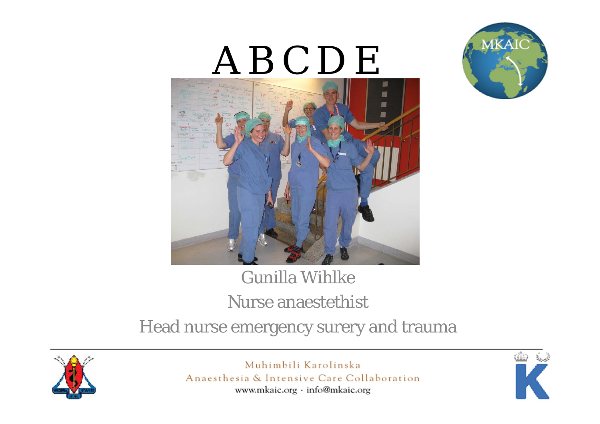

# A B C D E



### Gunilla WihlkeNurse anaestethist Head nurse emergency surery and trauma



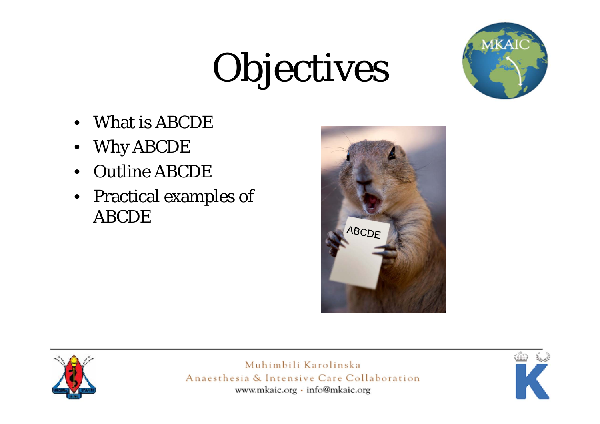# Objectives



- •What is ABCDE
- •Why ABCDE
- Outline ABCDE
- Practical examples of ABCDE





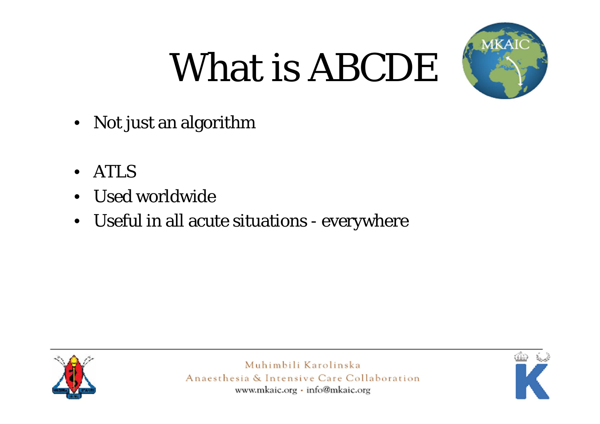# What is ABCDE



- Not just an algorithm
- •ATLS
- Used worldwide
- Useful in all acute situations everywhere



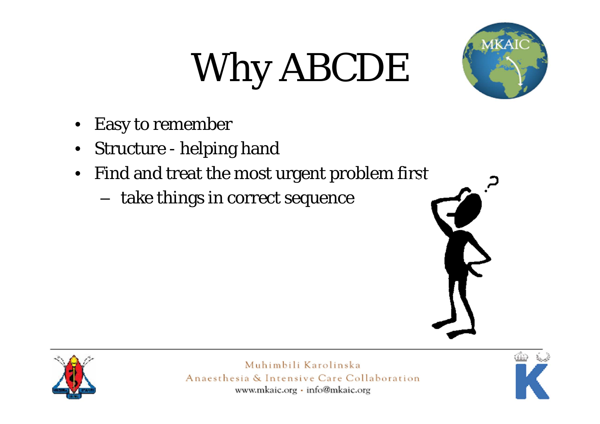# Why ABCDE



- •Easy to remember
- $\bullet$ Structure - helping hand
- Find and treat the most urgent problem first
	- –take things in correct sequence





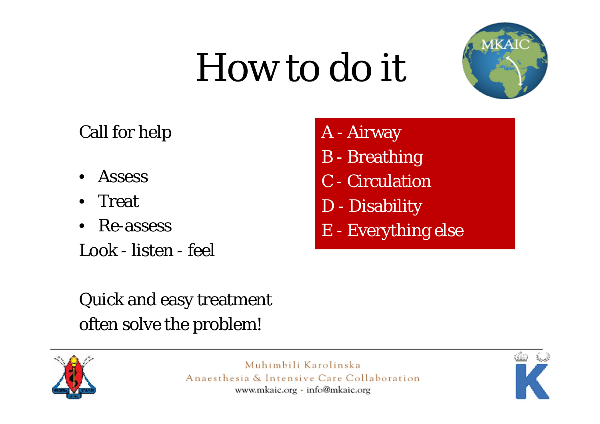# How to do it



#### Call for help

- •**Assess**
- •Treat
- $\bullet$ Re-assess
- Look listen feel
- A Airway
- B Breathing
- C Circulation
- D Disability
- E Everything else

### Quick and easy treatment often solve the problem!



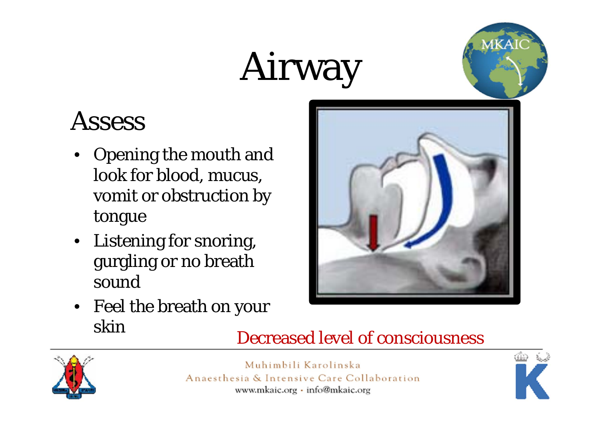# Airway



### **Assess**

- Opening the mouth and look for blood, mucus, vomit or obstruction by tongue
- Listening for snoring, gurgling or no breath sound
- Feel the breath on your skin





Decreased level of consciousness

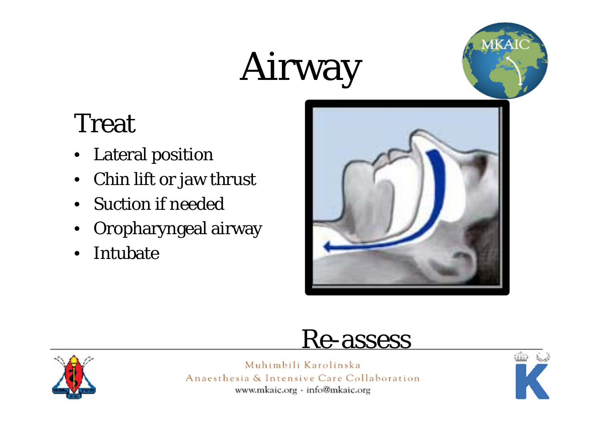## Airway



### Treat

- Lateral position
- $\bullet$ Chin lift or jaw thrust
- Suction if needed
- •Oropharyngeal airway
- $\bullet$ • Intubate



### Re-assess



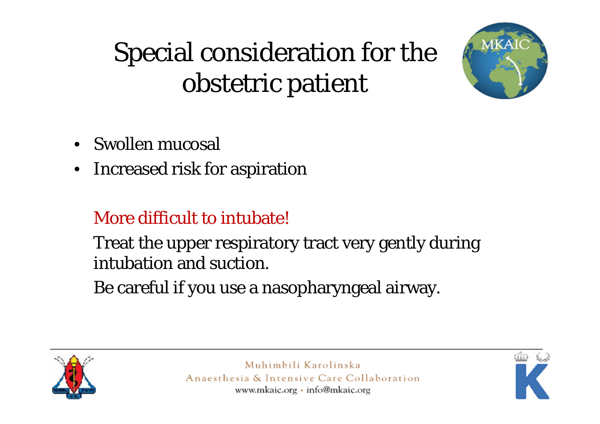## Special consideration for the obstetric patient



- Swollen mucosal
- $\bullet$ Increased risk for aspiration

#### More difficult to intubate!

Treat the upper respiratory tract very gently during intubation and suction.

Be careful if you use a nasopharyngeal airway.



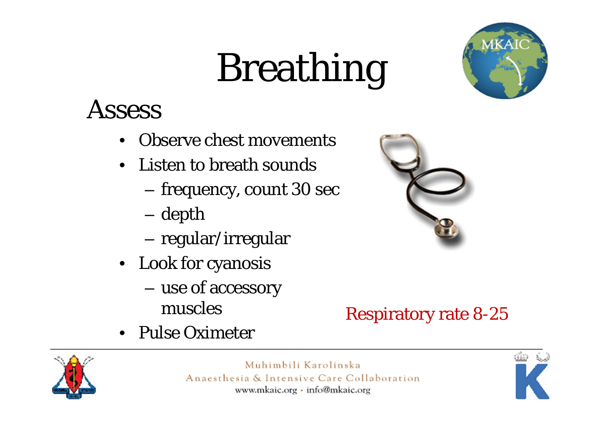# Breathing



### **Assess**

- •Observe chest movements
- Listen to breath sounds
	- –– frequency, count 30 sec
	- –depth
	- regular/irregular
- Look for cyanosis
	- use of accessory muscles
- Pulse Oximeter



#### Respiratory rate 8-25



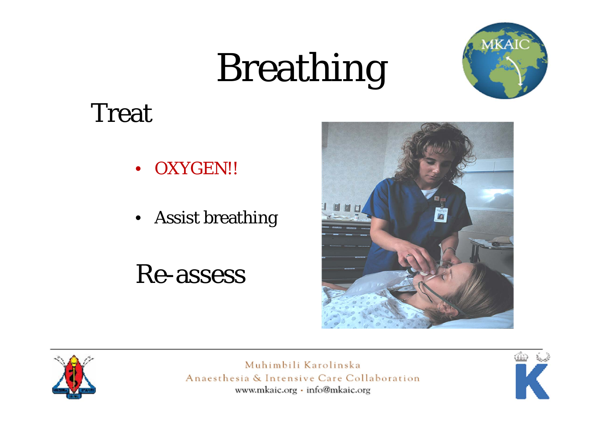# Breathing



### Treat

- $\bullet$ OXYGEN!!
- Assist breathing

### Re-assess





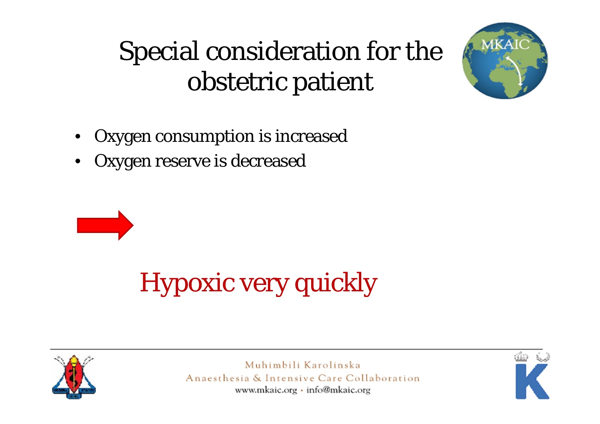## Special consideration for the obstetric patient



- •Oxygen consumption is increased
- •Oxygen reserve is decreased



## Hypoxic very quickly



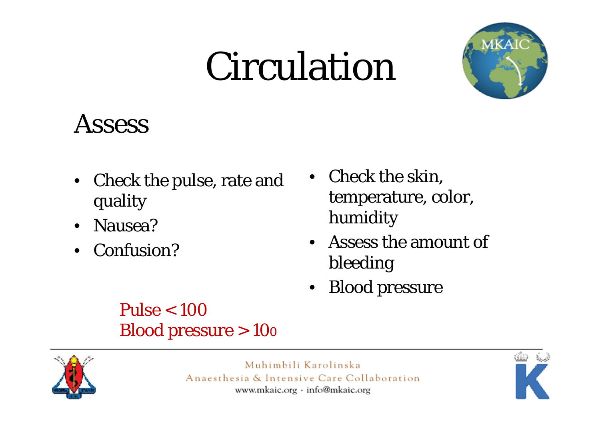## Circulation



### **Assess**

- Check the pulse, rate and quality
- Nausea?
- Confusion?
- Check the skin, temperature, color, humidity
- $\bullet$  Assess the amount of bleeding
- Blood pressure

#### Pulse  $< 100$ Blood pressure > 100



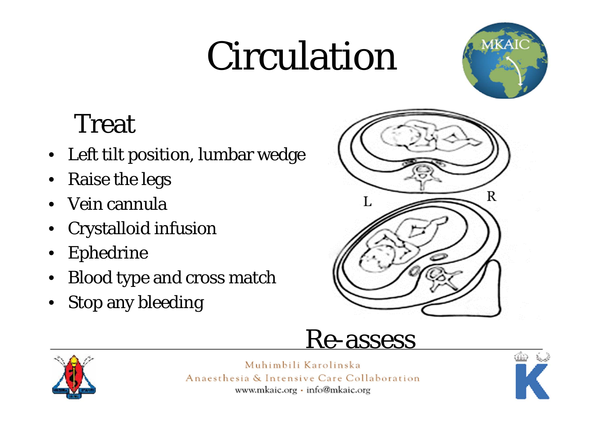## Circulation



### Treat

- Left tilt position, lumbar wedge
- •Raise the legs
- •Vein cannula
- •Crystalloid infusion
- •Ephedrine
- •Blood type and cross match
- •Stop any bleeding





Muhimbili Karolinska Anaesthesia & Intensive Care Collaboration www.mkaic.org · info@mkaic.org

Re-assess

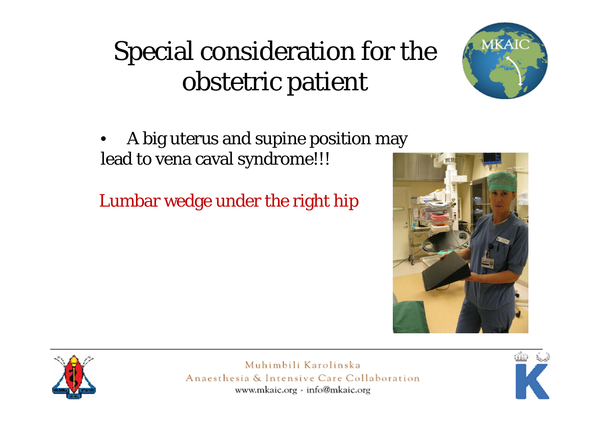### Special consideration for the obstetric patient



• A big uterus and supine position may lead to vena caval syndrome!!!

Lumbar wedge under the right hip





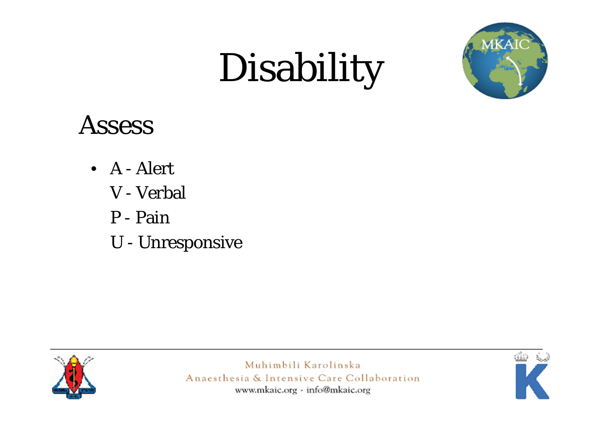# Disability



### **Assess**

- A Alert
	- V Verbal
	- P Pain
	- U Unresponsive



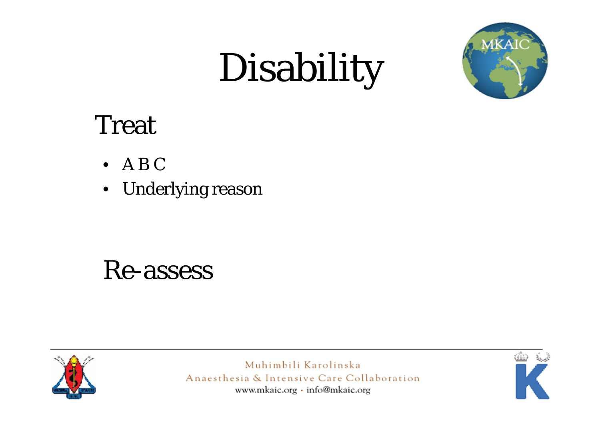# Disability



### Treat

- A B C
- $\bullet$ Underlying reason

### Re-assess



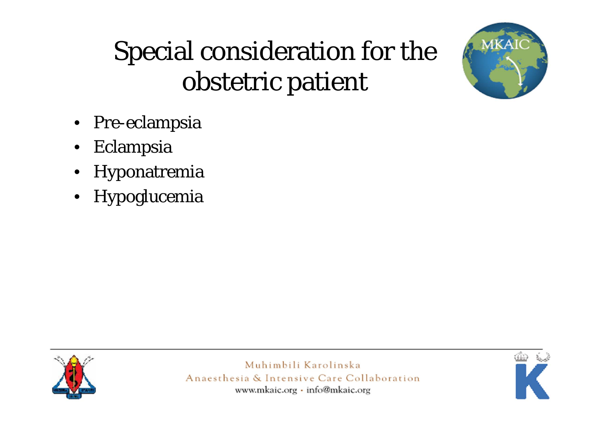

### Special consideration for the obstetric patient

- Pre-eclampsia
- $\bullet$ Eclampsia
- $\bullet$ Hyponatremia
- Hypoglucemia



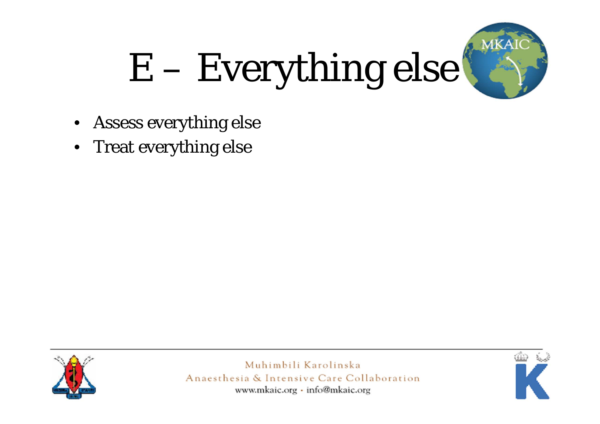

# E – Everything else

- $\bullet$ Assess everything else
- $\bullet$ Treat everything else



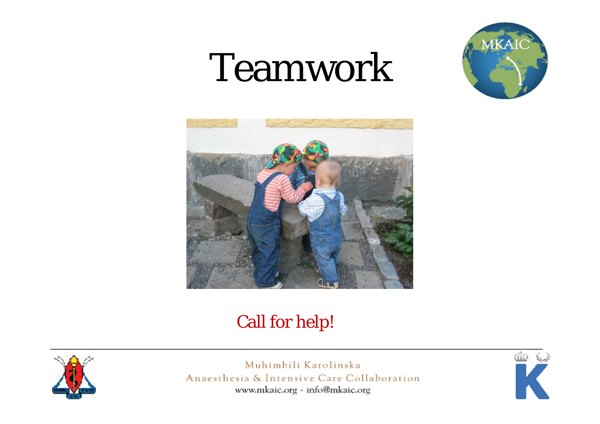## Teamwork





#### Call for help!



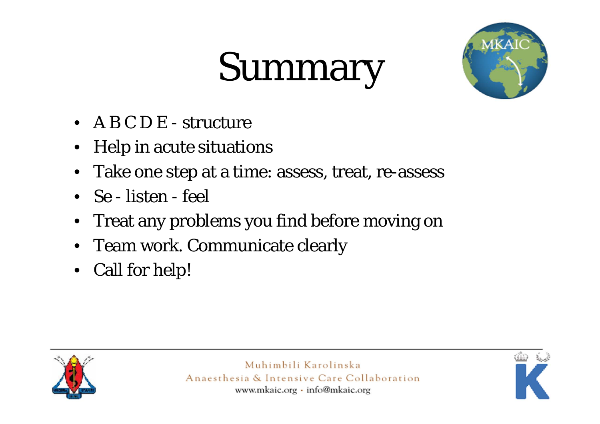# Summary



- A B C D E structure
- •Help in acute situations
- Take one step at a time: assess, treat, re-assess
- Se listen feel
- •Treat any problems you find before moving on
- Team work. Communicate clearly
- Call for help!